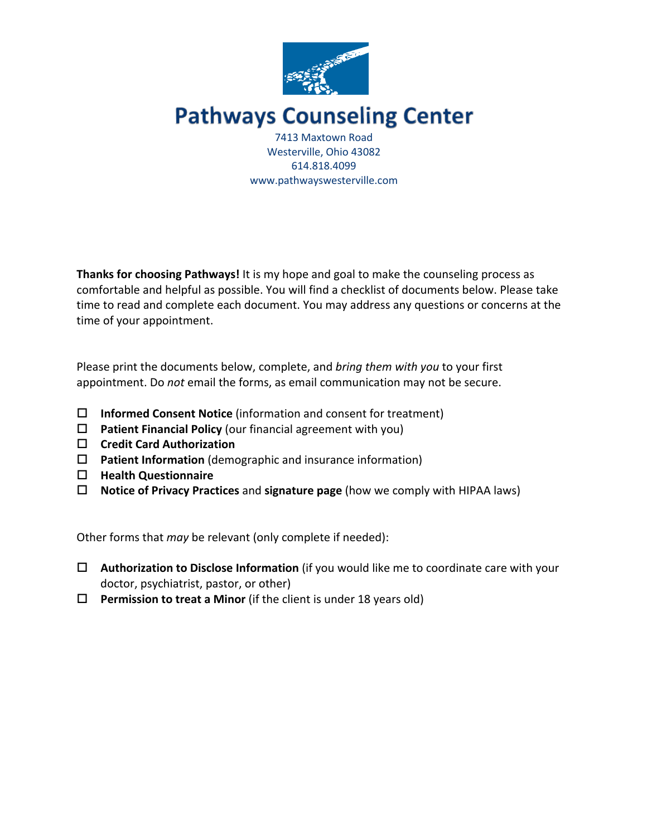

# **Pathways Counseling Center**

7413 Maxtown Road Westerville, Ohio 43082 614.818.4099 www.pathwayswesterville.com

**Thanks for choosing Pathways!** It is my hope and goal to make the counseling process as comfortable and helpful as possible. You will find a checklist of documents below. Please take time to read and complete each document. You may address any questions or concerns at the time of your appointment.

Please print the documents below, complete, and *bring them with you* to your first appointment. Do *not* email the forms, as email communication may not be secure.

- □ **Informed Consent Notice** (information and consent for treatment)
- $\Box$  **Patient Financial Policy** (our financial agreement with you)
- □ Credit Card Authorization
- □ **Patient Information** (demographic and insurance information)
- o **Health Questionnaire**
- □ **Notice of Privacy Practices** and **signature page** (how we comply with HIPAA laws)

Other forms that *may* be relevant (only complete if needed):

- □ Authorization to Disclose Information (if you would like me to coordinate care with your doctor, psychiatrist, pastor, or other)
- $\Box$  Permission to treat a Minor (if the client is under 18 years old)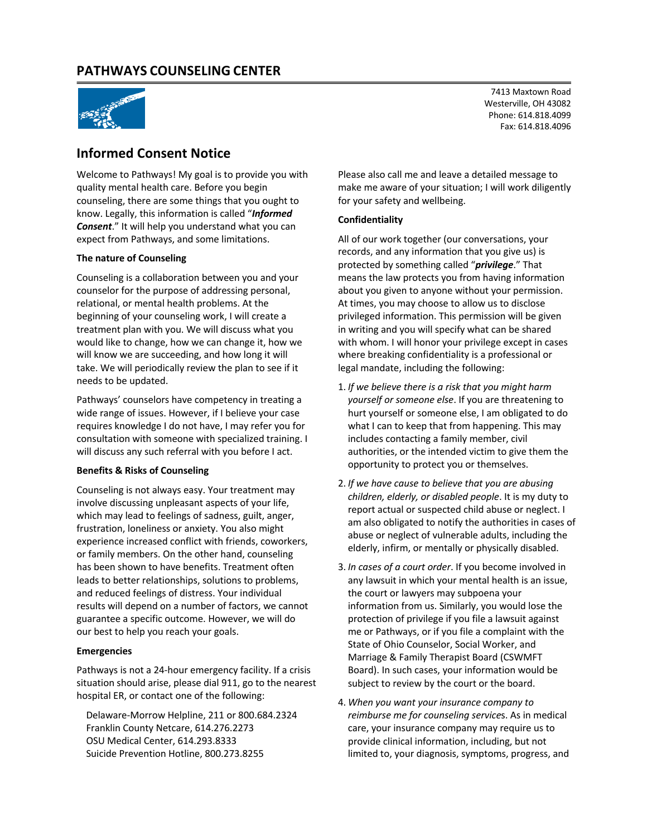

## **Informed Consent Notice**

Welcome to Pathways! My goal is to provide you with quality mental health care. Before you begin counseling, there are some things that you ought to know. Legally, this information is called "*Informed Consent*." It will help you understand what you can expect from Pathways, and some limitations.

#### **The nature of Counseling**

Counseling is a collaboration between you and your counselor for the purpose of addressing personal, relational, or mental health problems. At the beginning of your counseling work, I will create a treatment plan with you. We will discuss what you would like to change, how we can change it, how we will know we are succeeding, and how long it will take. We will periodically review the plan to see if it needs to be updated.

Pathways' counselors have competency in treating a wide range of issues. However, if I believe your case requires knowledge I do not have, I may refer you for consultation with someone with specialized training. I will discuss any such referral with you before I act.

#### **Benefits & Risks of Counseling**

Counseling is not always easy. Your treatment may involve discussing unpleasant aspects of your life, which may lead to feelings of sadness, guilt, anger, frustration, loneliness or anxiety. You also might experience increased conflict with friends, coworkers, or family members. On the other hand, counseling has been shown to have benefits. Treatment often leads to better relationships, solutions to problems, and reduced feelings of distress. Your individual results will depend on a number of factors, we cannot guarantee a specific outcome. However, we will do our best to help you reach your goals.

#### **Emergencies**

Pathways is not a 24-hour emergency facility. If a crisis situation should arise, please dial 911, go to the nearest hospital ER, or contact one of the following:

Delaware-Morrow Helpline, 211 or 800.684.2324 Franklin County Netcare, 614.276.2273 OSU Medical Center, 614.293.8333 Suicide Prevention Hotline, 800.273.8255

7413 Maxtown Road Westerville, OH 43082 Phone: 614.818.4099 Fax: 614.818.4096

Please also call me and leave a detailed message to make me aware of your situation; I will work diligently for your safety and wellbeing.

#### **Confidentiality**

All of our work together (our conversations, your records, and any information that you give us) is protected by something called "*privilege*." That means the law protects you from having information about you given to anyone without your permission. At times, you may choose to allow us to disclose privileged information. This permission will be given in writing and you will specify what can be shared with whom. I will honor your privilege except in cases where breaking confidentiality is a professional or legal mandate, including the following:

- 1. *If we believe there is a risk that you might harm yourself or someone else*. If you are threatening to hurt yourself or someone else, I am obligated to do what I can to keep that from happening. This may includes contacting a family member, civil authorities, or the intended victim to give them the opportunity to protect you or themselves.
- 2. *If we have cause to believe that you are abusing children, elderly, or disabled people*. It is my duty to report actual or suspected child abuse or neglect. I am also obligated to notify the authorities in cases of abuse or neglect of vulnerable adults, including the elderly, infirm, or mentally or physically disabled.
- 3. *In cases of a court order*. If you become involved in any lawsuit in which your mental health is an issue, the court or lawyers may subpoena your information from us. Similarly, you would lose the protection of privilege if you file a lawsuit against me or Pathways, or if you file a complaint with the State of Ohio Counselor, Social Worker, and Marriage & Family Therapist Board (CSWMFT Board). In such cases, your information would be subject to review by the court or the board.
- 4. *When you want your insurance company to reimburse me for counseling service*s. As in medical care, your insurance company may require us to provide clinical information, including, but not limited to, your diagnosis, symptoms, progress, and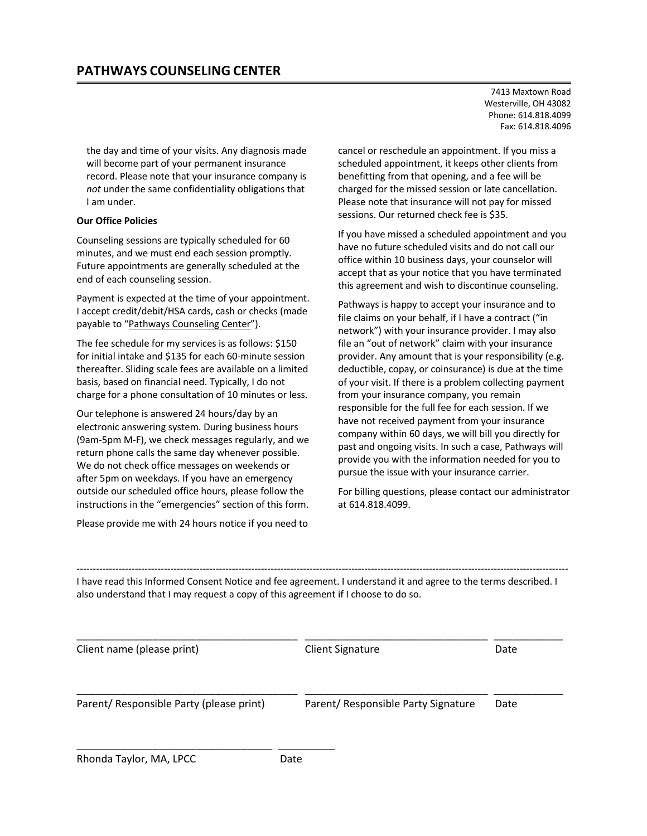7413 Maxtown Road Westerville, OH 43082 Phone: 614.818.4099 Fax: 614.818.4096

the day and time of your visits. Any diagnosis made will become part of your permanent insurance record. Please note that your insurance company is *not* under the same confidentiality obligations that I am under.

#### **Our Office Policies**

Counseling sessions are typically scheduled for 60 minutes, and we must end each session promptly. Future appointments are generally scheduled at the end of each counseling session.

Payment is expected at the time of your appointment. I accept credit/debit/HSA cards, cash or checks (made payable to "Pathways Counseling Center").

The fee schedule for my services is as follows: \$150 for initial intake and \$135 for each 60-minute session thereafter. Sliding scale fees are available on a limited basis, based on financial need. Typically, I do not charge for a phone consultation of 10 minutes or less.

Our telephone is answered 24 hours/day by an electronic answering system. During business hours (9am-5pm M-F), we check messages regularly, and we return phone calls the same day whenever possible. We do not check office messages on weekends or after 5pm on weekdays. If you have an emergency outside our scheduled office hours, please follow the instructions in the "emergencies" section of this form.

Please provide me with 24 hours notice if you need to

\_\_\_\_\_\_\_\_\_\_\_\_\_\_\_\_\_\_\_\_\_\_\_\_\_\_\_\_\_\_\_ \_\_\_\_\_\_\_\_\_

cancel or reschedule an appointment. If you miss a scheduled appointment, it keeps other clients from benefitting from that opening, and a fee will be charged for the missed session or late cancellation. Please note that insurance will not pay for missed sessions. Our returned check fee is \$35.

If you have missed a scheduled appointment and you have no future scheduled visits and do not call our office within 10 business days, your counselor will accept that as your notice that you have terminated this agreement and wish to discontinue counseling.

Pathways is happy to accept your insurance and to file claims on your behalf, if I have a contract ("in network") with your insurance provider. I may also file an "out of network" claim with your insurance provider. Any amount that is your responsibility (e.g. deductible, copay, or coinsurance) is due at the time of your visit. If there is a problem collecting payment from your insurance company, you remain responsible for the full fee for each session. If we have not received payment from your insurance company within 60 days, we will bill you directly for past and ongoing visits. In such a case, Pathways will provide you with the information needed for you to pursue the issue with your insurance carrier.

For billing questions, please contact our administrator at 614.818.4099.

I have read this Informed Consent Notice and fee agreement. I understand it and agree to the terms described. I also understand that I may request a copy of this agreement if I choose to do so.

--------------------------------------------------------------------------------------------------------------------------------------------------------

| Client name (please print)               | Client Signature                    | Date |
|------------------------------------------|-------------------------------------|------|
| Parent/ Responsible Party (please print) | Parent/ Responsible Party Signature | Date |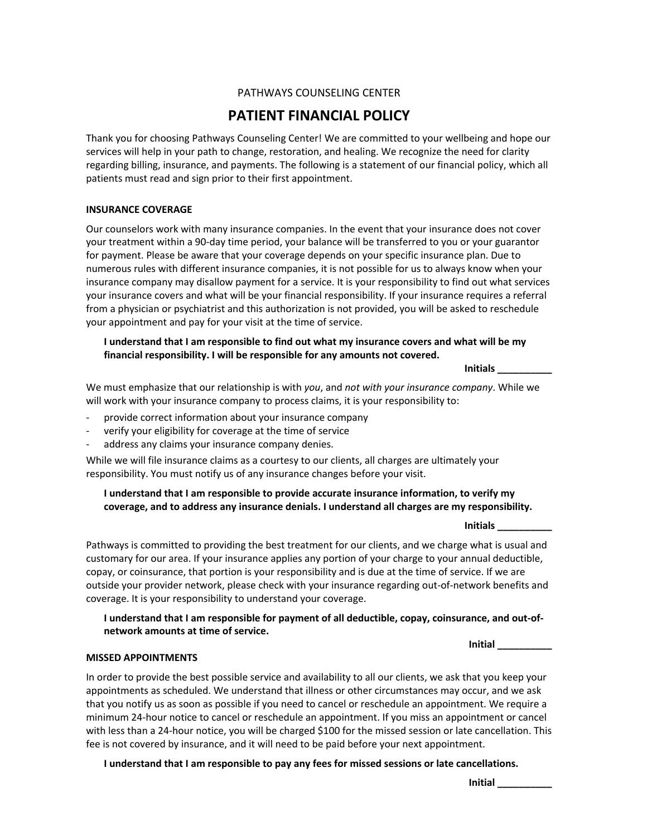## **PATIENT FINANCIAL POLICY**

Thank you for choosing Pathways Counseling Center! We are committed to your wellbeing and hope our services will help in your path to change, restoration, and healing. We recognize the need for clarity regarding billing, insurance, and payments. The following is a statement of our financial policy, which all patients must read and sign prior to their first appointment.

#### **INSURANCE COVERAGE**

Our counselors work with many insurance companies. In the event that your insurance does not cover your treatment within a 90-day time period, your balance will be transferred to you or your guarantor for payment. Please be aware that your coverage depends on your specific insurance plan. Due to numerous rules with different insurance companies, it is not possible for us to always know when your insurance company may disallow payment for a service. It is your responsibility to find out what services your insurance covers and what will be your financial responsibility. If your insurance requires a referral from a physician or psychiatrist and this authorization is not provided, you will be asked to reschedule your appointment and pay for your visit at the time of service.

#### **I understand that I am responsible to find out what my insurance covers and what will be my financial responsibility. I will be responsible for any amounts not covered.**

**Initials \_\_\_\_\_\_\_\_\_\_**

We must emphasize that our relationship is with *you*, and *not with your insurance company*. While we will work with your insurance company to process claims, it is your responsibility to:

- provide correct information about your insurance company
- verify your eligibility for coverage at the time of service
- address any claims your insurance company denies.

While we will file insurance claims as a courtesy to our clients, all charges are ultimately your responsibility. You must notify us of any insurance changes before your visit.

#### **I understand that I am responsible to provide accurate insurance information, to verify my coverage, and to address any insurance denials. I understand all charges are my responsibility.**

**Initials \_\_\_\_\_\_\_\_\_\_**

Pathways is committed to providing the best treatment for our clients, and we charge what is usual and customary for our area. If your insurance applies any portion of your charge to your annual deductible, copay, or coinsurance, that portion is your responsibility and is due at the time of service. If we are outside your provider network, please check with your insurance regarding out-of-network benefits and coverage. It is your responsibility to understand your coverage.

#### **I understand that I am responsible for payment of all deductible, copay, coinsurance, and out-ofnetwork amounts at time of service.**

**Initial \_\_\_\_\_\_\_\_\_\_**

#### **MISSED APPOINTMENTS**

In order to provide the best possible service and availability to all our clients, we ask that you keep your appointments as scheduled. We understand that illness or other circumstances may occur, and we ask that you notify us as soon as possible if you need to cancel or reschedule an appointment. We require a minimum 24-hour notice to cancel or reschedule an appointment. If you miss an appointment or cancel with less than a 24-hour notice, you will be charged \$100 for the missed session or late cancellation. This fee is not covered by insurance, and it will need to be paid before your next appointment.

**I understand that I am responsible to pay any fees for missed sessions or late cancellations.**

**Initial \_\_\_\_\_\_\_\_\_\_**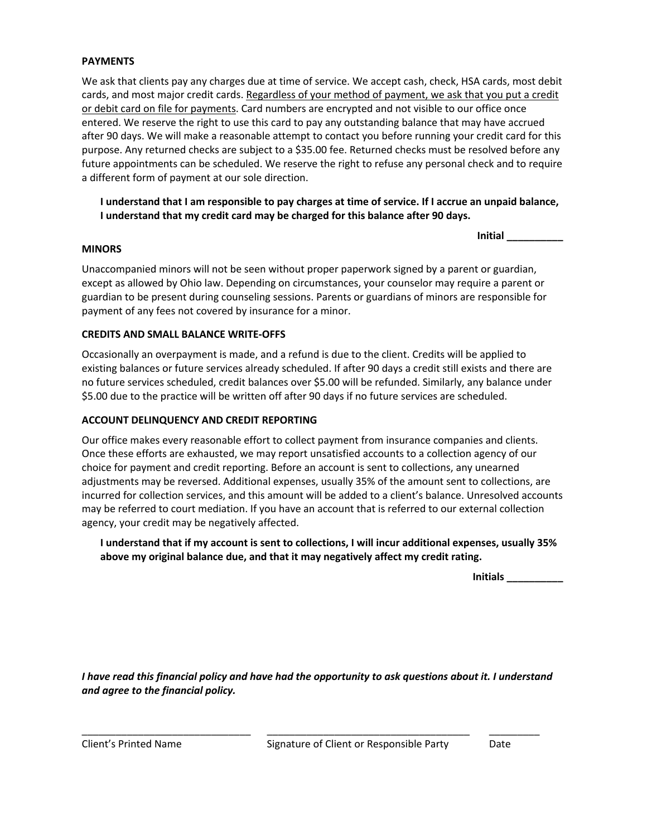#### **PAYMENTS**

**EXAMENTS**<br>We ask that clients pay any charges due at time of service. We accept cash, check, HSA cards, most debit cards, and most major credit cards. Regardless of your method of payment, we ask that you put a credit or debit card on file for payments. Card numbers are encrypted and not visible to our office once  $\frac{1}{2}$ entered. We reserve the right to use this card to pay any outstanding balance that may have accrued after 90 days. We will make a reasonable attempt to contact you before running your credit card for this purpose. Any returned checks are subject to a \$35.00 fee. Returned checks must be resolved before any future appointments can be scheduled. We reserve the right to refuse any personal check and to require a different form of payment at our sole direction.

**I understand that I am responsible to pay charges at time of service. If I accrue an unpaid balance, I understand that my credit card may be charged for this balance after 90 days.**

**Initial \_\_\_\_\_\_\_\_\_\_**

#### **MINORS**

Unaccompanied minors will not be seen without proper paperwork signed by a parent or guardian, except as allowed by Ohio law. Depending on circumstances, your counselor may require a parent or guardian to be present during counseling sessions. Parents or guardians of minors are responsible for payment of any fees not covered by insurance for a minor.

#### **CREDITS AND SMALL BALANCE WRITE-OFFS**

Occasionally an overpayment is made, and a refund is due to the client. Credits will be applied to existing balances or future services already scheduled. If after 90 days a credit still exists and there are no future services scheduled, credit balances over \$5.00 will be refunded. Similarly, any balance under \$5.00 due to the practice will be written off after 90 days if no future services are scheduled.

#### **ACCOUNT DELINQUENCY AND CREDIT REPORTING**

Our office makes every reasonable effort to collect payment from insurance companies and clients. Once these efforts are exhausted, we may report unsatisfied accounts to a collection agency of our choice for payment and credit reporting. Before an account is sent to collections, any unearned adjustments may be reversed. Additional expenses, usually 35% of the amount sent to collections, are incurred for collection services, and this amount will be added to a client's balance. Unresolved accounts may be referred to court mediation. If you have an account that is referred to our external collection agency, your credit may be negatively affected.

**I understand that if my account is sent to collections, I will incur additional expenses, usually 35% above my original balance due, and that it may negatively affect my credit rating.**

**Initials \_\_\_\_\_\_\_\_\_\_**

*I have read this financial policy and have had the opportunity to ask questions about it. I understand and agree to the financial policy.* 

\_\_\_\_\_\_\_\_\_\_\_\_\_\_\_\_\_\_\_\_\_\_\_\_\_\_\_\_\_\_ \_\_\_\_\_\_\_\_\_\_\_\_\_\_\_\_\_\_\_\_\_\_\_\_\_\_\_\_\_\_\_\_\_\_\_\_ \_\_\_\_\_\_\_\_\_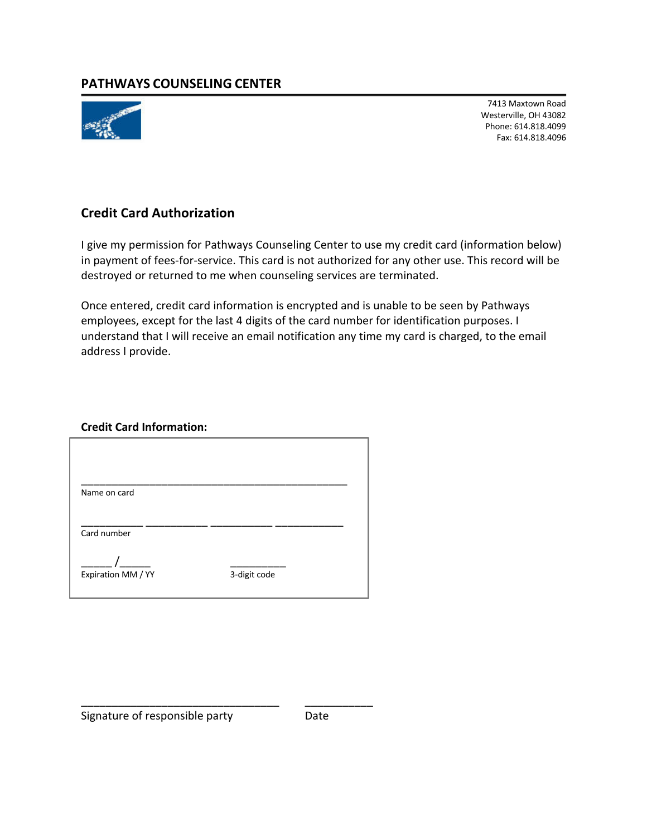### **PATHWAYS COUNSELING CENTER PATHWAYS COUNSELING CENTER**



7413 Maxtown Road Westerville, OH 43082 Phone: 614.818.4099 Fax: 614.818.4096

7413 Maxtown Road (1982)

## **Credit Card Authorization**

I give my permission for Pathways Counseling Center to use my credit card (information below) in payment of fees-for-service. This card is not authorized for any other use. This record will be destroyed or returned to me when counseling services are terminated.

Once entered, credit card information is encrypted and is unable to be seen by Pathways employees, except for the last 4 digits of the card number for identification purposes. I understand that I will receive an email notification any time my card is charged, to the email address I provide.

# **Credit Card Information:**

| Name on card       |              |  |
|--------------------|--------------|--|
| Card number        |              |  |
| Expiration MM / YY | 3-digit code |  |
|                    |              |  |

\_\_\_\_\_\_\_\_\_\_\_\_\_\_\_\_\_\_\_\_\_\_\_\_\_\_\_\_\_\_\_\_ \_\_\_\_\_\_\_\_\_\_\_

Signature of responsible party **Date**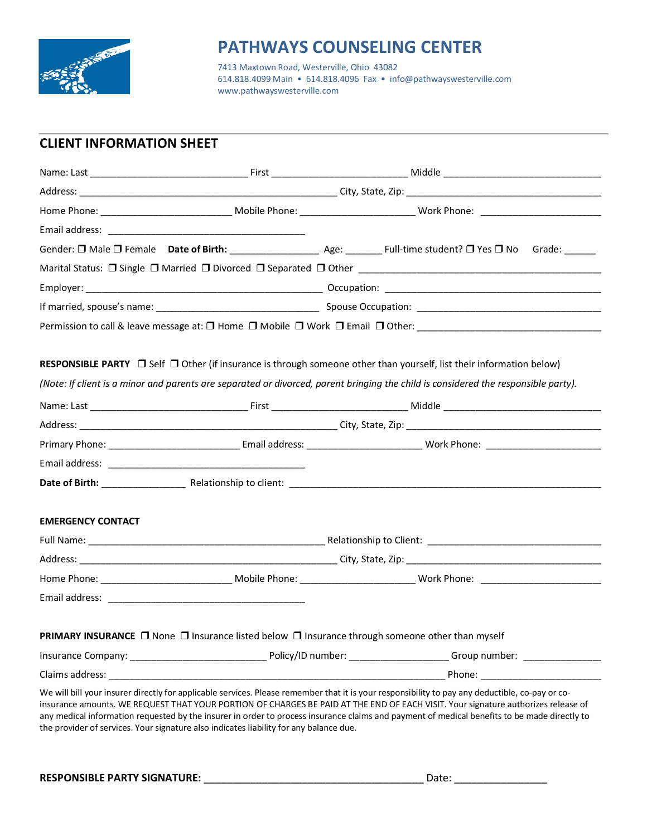

**PATHWAYSING COUNSELING CALL 218 Maxtown Road, Westerville, Ohio 43082**<br>CALL 818 4000 Main 10 CALL 818 4006 Fax 1.2 in **PATHWAYS COUNSELING CENTER**<br>
7413 Maxtown Road, Westerville, Ohio 43082<br>
614.818.4099 Main • 614.818.4096 Fax • info@pathwayswestervi 614.818.4099 Main • 614.818.4096 Fax • info@pathwayswesterville.com o14.818.4099 Main • 614.818.<br>www.pathwayswesterville.com

## **CLIENT INFORMATION SHEET**

|                                                                                                 |  | Permission to call & leave message at: 0 Home 0 Mobile 0 Work 0 Email 0 Other: _______________________________                                                                                                                                                                                                                                                                                                                       |
|-------------------------------------------------------------------------------------------------|--|--------------------------------------------------------------------------------------------------------------------------------------------------------------------------------------------------------------------------------------------------------------------------------------------------------------------------------------------------------------------------------------------------------------------------------------|
|                                                                                                 |  |                                                                                                                                                                                                                                                                                                                                                                                                                                      |
|                                                                                                 |  | RESPONSIBLE PARTY □ Self □ Other (if insurance is through someone other than yourself, list their information below)                                                                                                                                                                                                                                                                                                                 |
|                                                                                                 |  | (Note: If client is a minor and parents are separated or divorced, parent bringing the child is considered the responsible party).                                                                                                                                                                                                                                                                                                   |
|                                                                                                 |  |                                                                                                                                                                                                                                                                                                                                                                                                                                      |
|                                                                                                 |  |                                                                                                                                                                                                                                                                                                                                                                                                                                      |
|                                                                                                 |  |                                                                                                                                                                                                                                                                                                                                                                                                                                      |
|                                                                                                 |  |                                                                                                                                                                                                                                                                                                                                                                                                                                      |
|                                                                                                 |  |                                                                                                                                                                                                                                                                                                                                                                                                                                      |
|                                                                                                 |  |                                                                                                                                                                                                                                                                                                                                                                                                                                      |
| <b>EMERGENCY CONTACT</b>                                                                        |  |                                                                                                                                                                                                                                                                                                                                                                                                                                      |
|                                                                                                 |  |                                                                                                                                                                                                                                                                                                                                                                                                                                      |
|                                                                                                 |  |                                                                                                                                                                                                                                                                                                                                                                                                                                      |
|                                                                                                 |  |                                                                                                                                                                                                                                                                                                                                                                                                                                      |
|                                                                                                 |  |                                                                                                                                                                                                                                                                                                                                                                                                                                      |
|                                                                                                 |  |                                                                                                                                                                                                                                                                                                                                                                                                                                      |
| PRIMARY INSURANCE □ None □ Insurance listed below □ Insurance through someone other than myself |  |                                                                                                                                                                                                                                                                                                                                                                                                                                      |
|                                                                                                 |  |                                                                                                                                                                                                                                                                                                                                                                                                                                      |
|                                                                                                 |  |                                                                                                                                                                                                                                                                                                                                                                                                                                      |
| the provider of services. Your signature also indicates liability for any balance due.          |  | We will bill your insurer directly for applicable services. Please remember that it is your responsibility to pay any deductible, co-pay or co-<br>insurance amounts. WE REQUEST THAT YOUR PORTION OF CHARGES BE PAID AT THE END OF EACH VISIT. Your signature authorizes release of<br>any medical information requested by the insurer in order to process insurance claims and payment of medical benefits to be made directly to |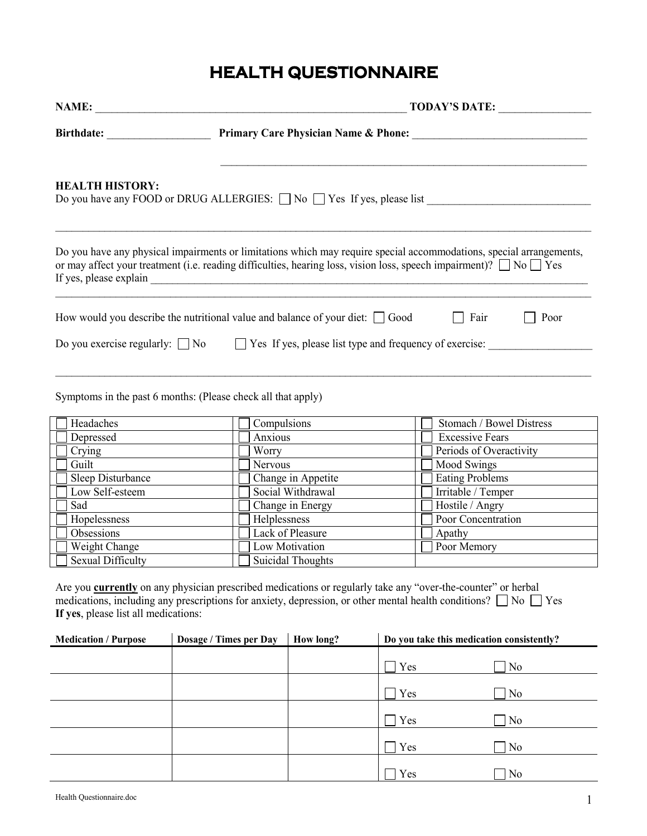#### **PATHWAYSING CONSERVERS HEALTH QUESTIONNAIRE HEALTH QUESTIONNAIRE**

|                                                                     |                                                                                                                                                                     | NAME:<br><b>TODAY'S DATE:</b>              |     |                                                                                                                                                                                                                                                     |  |
|---------------------------------------------------------------------|---------------------------------------------------------------------------------------------------------------------------------------------------------------------|--------------------------------------------|-----|-----------------------------------------------------------------------------------------------------------------------------------------------------------------------------------------------------------------------------------------------------|--|
|                                                                     |                                                                                                                                                                     |                                            |     |                                                                                                                                                                                                                                                     |  |
| <b>HEALTH HISTORY:</b>                                              |                                                                                                                                                                     |                                            |     |                                                                                                                                                                                                                                                     |  |
|                                                                     |                                                                                                                                                                     |                                            |     | Do you have any physical impairments or limitations which may require special accommodations, special arrangements,<br>or may affect your treatment (i.e. reading difficulties, hearing loss, vision loss, speech impairment)? $\Box$ No $\Box$ Yes |  |
|                                                                     | How would you describe the nutritional value and balance of your diet: $\Box$ Good                                                                                  |                                            |     | $\Box$ Fair<br>Poor                                                                                                                                                                                                                                 |  |
|                                                                     | Do you exercise regularly: $\Box$ No $\Box$ Yes If yes, please list type and frequency of exercise:<br>Symptoms in the past 6 months: (Please check all that apply) |                                            |     |                                                                                                                                                                                                                                                     |  |
| Headaches                                                           | Compulsions                                                                                                                                                         |                                            |     | Stomach / Bowel Distress                                                                                                                                                                                                                            |  |
| Depressed                                                           | Anxious                                                                                                                                                             |                                            |     | <b>Excessive Fears</b>                                                                                                                                                                                                                              |  |
| Crying<br><u> 1989 - Jan Barbara Barat, prima politik po</u>        | Worry                                                                                                                                                               |                                            |     | Periods of Overactivity                                                                                                                                                                                                                             |  |
| Guilt                                                               |                                                                                                                                                                     | Nervous                                    |     | Mood Swings                                                                                                                                                                                                                                         |  |
| Sleep Disturbance                                                   |                                                                                                                                                                     | Change in Appetite                         |     | <b>Eating Problems</b>                                                                                                                                                                                                                              |  |
| Low Self-esteem                                                     |                                                                                                                                                                     | Social Withdrawal                          |     | Irritable / Temper                                                                                                                                                                                                                                  |  |
| Sad                                                                 |                                                                                                                                                                     | Change in Energy                           |     | Hostile / Angry                                                                                                                                                                                                                                     |  |
| Hopelessness                                                        | Helplessness                                                                                                                                                        |                                            |     | Poor Concentration                                                                                                                                                                                                                                  |  |
| Obsessions                                                          |                                                                                                                                                                     | Lack of Pleasure                           |     |                                                                                                                                                                                                                                                     |  |
| Weight Change<br><b>Sexual Difficulty</b>                           |                                                                                                                                                                     | Low Motivation<br><b>Suicidal Thoughts</b> |     | Poor Memory                                                                                                                                                                                                                                         |  |
| If yes, please list all medications:<br><b>Medication / Purpose</b> | Are you <b>currently</b> on any physician prescribed medications or regularly take any "over-the-counter" or herbal                                                 | How long?                                  |     | medications, including any prescriptions for anxiety, depression, or other mental health conditions? $\Box$ No $\Box$ Yes<br>Do you take this medication consistently?                                                                              |  |
|                                                                     | Dosage / Times per Day                                                                                                                                              |                                            |     |                                                                                                                                                                                                                                                     |  |
|                                                                     |                                                                                                                                                                     |                                            | Yes | N <sub>0</sub>                                                                                                                                                                                                                                      |  |
|                                                                     |                                                                                                                                                                     |                                            | Yes | N <sub>0</sub>                                                                                                                                                                                                                                      |  |
|                                                                     |                                                                                                                                                                     |                                            | Yes | N <sub>0</sub>                                                                                                                                                                                                                                      |  |
|                                                                     |                                                                                                                                                                     |                                            | Yes | N <sub>0</sub>                                                                                                                                                                                                                                      |  |
|                                                                     |                                                                                                                                                                     |                                            | Yes | N <sub>0</sub>                                                                                                                                                                                                                                      |  |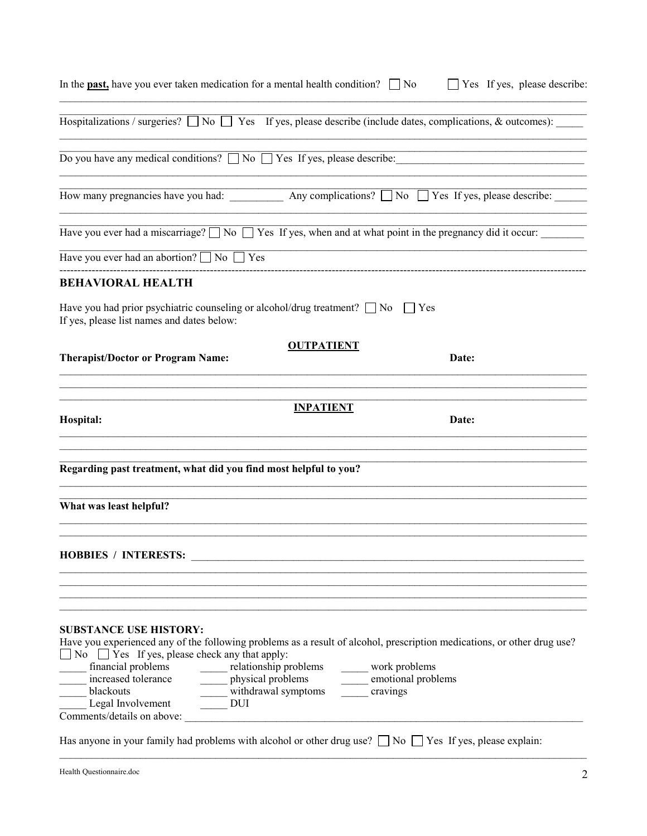| In the <b>past</b> , have you ever taken medication for a mental health condition? $\Box$ No                                                                                                                                                                                                                                                     |                                                                   |                                                 | $\Box$ Yes If yes, please describe: |
|--------------------------------------------------------------------------------------------------------------------------------------------------------------------------------------------------------------------------------------------------------------------------------------------------------------------------------------------------|-------------------------------------------------------------------|-------------------------------------------------|-------------------------------------|
| Hospitalizations / surgeries? $\Box$ No $\Box$ Yes If yes, please describe (include dates, complications, & outcomes):                                                                                                                                                                                                                           |                                                                   |                                                 |                                     |
| Do you have any medical conditions? No Yes If yes, please describe:                                                                                                                                                                                                                                                                              |                                                                   |                                                 |                                     |
| How many pregnancies have you had: ____________ Any complications? ___ No ____ Yes If yes, please describe: ____                                                                                                                                                                                                                                 |                                                                   |                                                 |                                     |
| Have you ever had a miscarriage? $\Box$ No $\Box$ Yes If yes, when and at what point in the pregnancy did it occur:                                                                                                                                                                                                                              |                                                                   |                                                 |                                     |
| Have you ever had an abortion? $\Box$ No $\Box$ Yes                                                                                                                                                                                                                                                                                              |                                                                   |                                                 |                                     |
| <b>BEHAVIORAL HEALTH</b>                                                                                                                                                                                                                                                                                                                         |                                                                   |                                                 |                                     |
| Have you had prior psychiatric counseling or alcohol/drug treatment? $\Box$ No $\Box$ Yes<br>If yes, please list names and dates below:                                                                                                                                                                                                          |                                                                   |                                                 |                                     |
| <b>Therapist/Doctor or Program Name:</b>                                                                                                                                                                                                                                                                                                         | <b>OUTPATIENT</b>                                                 |                                                 | Date:                               |
| Hospital:                                                                                                                                                                                                                                                                                                                                        | <b>INPATIENT</b>                                                  |                                                 | Date:                               |
| Regarding past treatment, what did you find most helpful to you?                                                                                                                                                                                                                                                                                 |                                                                   |                                                 |                                     |
| What was least helpful?                                                                                                                                                                                                                                                                                                                          |                                                                   |                                                 |                                     |
| <b>HOBBIES / INTERESTS:</b>                                                                                                                                                                                                                                                                                                                      |                                                                   |                                                 |                                     |
| <b>SUBSTANCE USE HISTORY:</b><br>Have you experienced any of the following problems as a result of alcohol, prescription medications, or other drug use?<br>$\Box$ No $\Box$ Yes If yes, please check any that apply:<br>financial problems<br>increased tolerance<br>blackouts<br>Legal Involvement<br><b>DUI</b><br>Comments/details on above: | relationship problems<br>physical problems<br>withdrawal symptoms | work problems<br>emotional problems<br>cravings |                                     |
| Has anyone in your family had problems with alcohol or other drug use? $\Box$ No $\Box$ Yes If yes, please explain:                                                                                                                                                                                                                              |                                                                   |                                                 |                                     |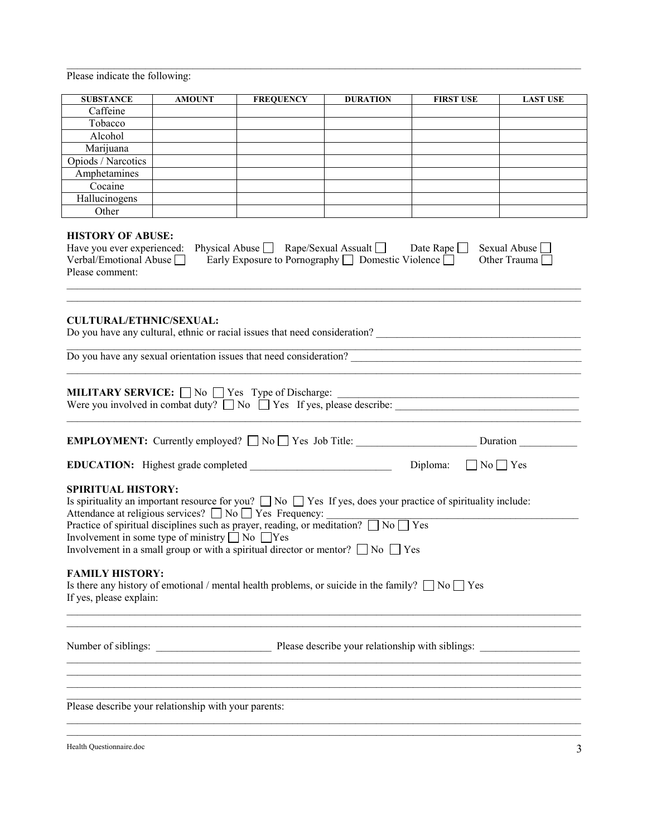**Please indicate the following:** 

| <b>SUBSTANCE</b>                                                                                                                                                                                                                                                                                                                                                                                                                                                            | <b>AMOUNT</b>                                                                                                                                                                                                                                                                                                                                                                                                                                                           | <b>FREQUENCY</b> | <b>DURATION</b> | <b>FIRST USE</b>                                                                                                                                                                                                                                                                                       | <b>LAST USE</b> |  |  |
|-----------------------------------------------------------------------------------------------------------------------------------------------------------------------------------------------------------------------------------------------------------------------------------------------------------------------------------------------------------------------------------------------------------------------------------------------------------------------------|-------------------------------------------------------------------------------------------------------------------------------------------------------------------------------------------------------------------------------------------------------------------------------------------------------------------------------------------------------------------------------------------------------------------------------------------------------------------------|------------------|-----------------|--------------------------------------------------------------------------------------------------------------------------------------------------------------------------------------------------------------------------------------------------------------------------------------------------------|-----------------|--|--|
| Caffeine                                                                                                                                                                                                                                                                                                                                                                                                                                                                    |                                                                                                                                                                                                                                                                                                                                                                                                                                                                         |                  |                 |                                                                                                                                                                                                                                                                                                        |                 |  |  |
| Tobacco                                                                                                                                                                                                                                                                                                                                                                                                                                                                     |                                                                                                                                                                                                                                                                                                                                                                                                                                                                         |                  |                 |                                                                                                                                                                                                                                                                                                        |                 |  |  |
| Alcohol                                                                                                                                                                                                                                                                                                                                                                                                                                                                     |                                                                                                                                                                                                                                                                                                                                                                                                                                                                         |                  |                 |                                                                                                                                                                                                                                                                                                        |                 |  |  |
| Marijuana                                                                                                                                                                                                                                                                                                                                                                                                                                                                   |                                                                                                                                                                                                                                                                                                                                                                                                                                                                         |                  |                 |                                                                                                                                                                                                                                                                                                        |                 |  |  |
| Opiods / Narcotics                                                                                                                                                                                                                                                                                                                                                                                                                                                          |                                                                                                                                                                                                                                                                                                                                                                                                                                                                         |                  |                 |                                                                                                                                                                                                                                                                                                        |                 |  |  |
| Amphetamines                                                                                                                                                                                                                                                                                                                                                                                                                                                                |                                                                                                                                                                                                                                                                                                                                                                                                                                                                         |                  |                 |                                                                                                                                                                                                                                                                                                        |                 |  |  |
| Cocaine                                                                                                                                                                                                                                                                                                                                                                                                                                                                     |                                                                                                                                                                                                                                                                                                                                                                                                                                                                         |                  |                 |                                                                                                                                                                                                                                                                                                        |                 |  |  |
| Hallucinogens                                                                                                                                                                                                                                                                                                                                                                                                                                                               |                                                                                                                                                                                                                                                                                                                                                                                                                                                                         |                  |                 |                                                                                                                                                                                                                                                                                                        |                 |  |  |
| Other                                                                                                                                                                                                                                                                                                                                                                                                                                                                       |                                                                                                                                                                                                                                                                                                                                                                                                                                                                         |                  |                 |                                                                                                                                                                                                                                                                                                        |                 |  |  |
| Please comment:                                                                                                                                                                                                                                                                                                                                                                                                                                                             | <b>HISTORY OF ABUSE:</b><br>Physical Abuse Rape/Sexual Assualt Date Rape<br>Sexual Abuse<br>Have you ever experienced:<br>Early Exposure to Pornography $\Box$ Domestic Violence $\Box$<br>Other Trauma<br>Verbal/Emotional Abuse                                                                                                                                                                                                                                       |                  |                 |                                                                                                                                                                                                                                                                                                        |                 |  |  |
| <b>CULTURAL/ETHNIC/SEXUAL:</b>                                                                                                                                                                                                                                                                                                                                                                                                                                              |                                                                                                                                                                                                                                                                                                                                                                                                                                                                         |                  |                 | Do you have any cultural, ethnic or racial issues that need consideration?<br>The mass of the same state and the same state and the same state and the state and the state and the state and the state and state and state and s<br>Do you have any sexual orientation issues that need consideration? |                 |  |  |
|                                                                                                                                                                                                                                                                                                                                                                                                                                                                             |                                                                                                                                                                                                                                                                                                                                                                                                                                                                         |                  |                 |                                                                                                                                                                                                                                                                                                        |                 |  |  |
|                                                                                                                                                                                                                                                                                                                                                                                                                                                                             | <b>MILITARY SERVICE:</b> $\Box$ No $\Box$ Yes Type of Discharge:<br><b>MILITARY SERVICE:</b> $\Box$ No $\Box$ Yes Type of Discharge: $\Box$<br>Were you involved in combat duty? $\Box$ No $\Box$ Yes If yes, please describe: $\Box$<br>EMPLOYMENT: Currently employed?  No  Sec Job Title:  No  Sec Job Title:  No  Sec Job Title:  No  Sec Job Title:  No  Sec Job Title:  No  Sec Job Title:  No  Sec Job Title:  No  Sec Job Title:  No  Sec Job Title:  No  Sec J |                  |                 |                                                                                                                                                                                                                                                                                                        |                 |  |  |
|                                                                                                                                                                                                                                                                                                                                                                                                                                                                             |                                                                                                                                                                                                                                                                                                                                                                                                                                                                         |                  |                 |                                                                                                                                                                                                                                                                                                        |                 |  |  |
| Diploma:<br>$\Box$ No $\Box$ Yes                                                                                                                                                                                                                                                                                                                                                                                                                                            |                                                                                                                                                                                                                                                                                                                                                                                                                                                                         |                  |                 |                                                                                                                                                                                                                                                                                                        |                 |  |  |
| <b>SPIRITUAL HISTORY:</b><br>Is spirituality an important resource for you? $\Box$ No $\Box$ Yes If yes, does your practice of spirituality include:<br>Attendance at religious services? □ No □ Yes Frequency:<br>Practice of spiritual disciplines such as prayer, reading, or meditation? $\Box$ No $\Box$ Yes<br>Involvement in some type of ministry $\Box$ No $\Box$ Yes<br>Involvement in a small group or with a spiritual director or mentor? $\Box$ No $\Box$ Yes |                                                                                                                                                                                                                                                                                                                                                                                                                                                                         |                  |                 |                                                                                                                                                                                                                                                                                                        |                 |  |  |
| <b>FAMILY HISTORY:</b><br>Is there any history of emotional / mental health problems, or suicide in the family? $\Box$ No $\Box$ Yes<br>If yes, please explain:                                                                                                                                                                                                                                                                                                             |                                                                                                                                                                                                                                                                                                                                                                                                                                                                         |                  |                 |                                                                                                                                                                                                                                                                                                        |                 |  |  |
| Number of siblings:<br>Please describe your relationship with siblings:                                                                                                                                                                                                                                                                                                                                                                                                     |                                                                                                                                                                                                                                                                                                                                                                                                                                                                         |                  |                 |                                                                                                                                                                                                                                                                                                        |                 |  |  |
| <u> 1989 - Johann John Stoff, deutscher Stoffen und der Stoffen und der Stoffen und der Stoffen und der Stoffen</u><br>Please describe your relationship with your parents:                                                                                                                                                                                                                                                                                                 |                                                                                                                                                                                                                                                                                                                                                                                                                                                                         |                  |                 |                                                                                                                                                                                                                                                                                                        |                 |  |  |

 $\_$  , and the state of the state of the state of the state of the state of the state of the state of the state of the state of the state of the state of the state of the state of the state of the state of the state of the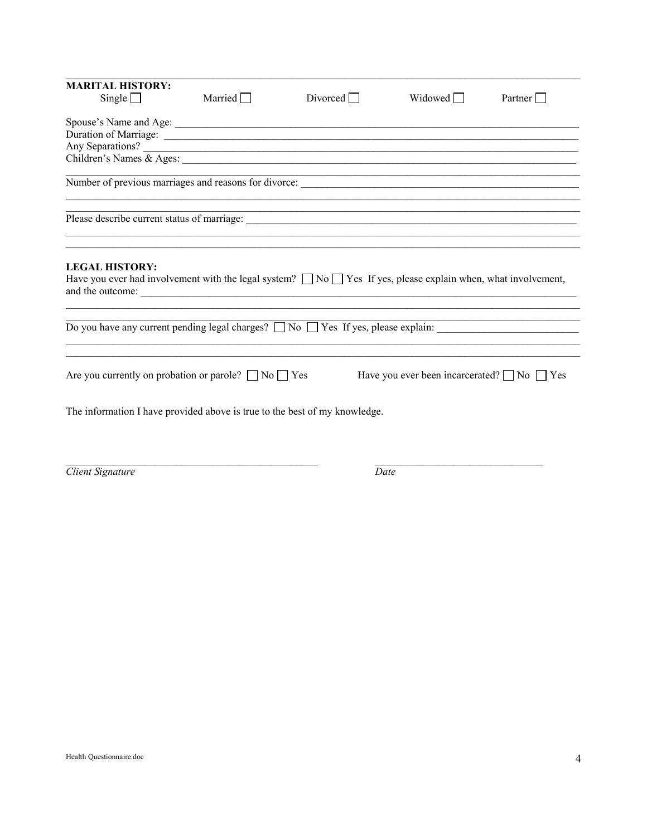| <b>MARITAL HISTORY:</b> |                                                                                                                                                                                                                                      |                 |                                                             |         |
|-------------------------|--------------------------------------------------------------------------------------------------------------------------------------------------------------------------------------------------------------------------------------|-----------------|-------------------------------------------------------------|---------|
| Single $\Box$           | Married $\Box$                                                                                                                                                                                                                       | Divorced $\Box$ | Widowed $\Box$                                              | Partner |
|                         |                                                                                                                                                                                                                                      |                 |                                                             |         |
|                         | Duration of Marriage: <u>contract of Marriage and State of American contract of Marriage and State of American contract of Marriage and State of American contract of Marriage and State of American contract of Marriage and St</u> |                 |                                                             |         |
|                         | Any Separations?                                                                                                                                                                                                                     |                 |                                                             |         |
|                         |                                                                                                                                                                                                                                      |                 |                                                             |         |
|                         |                                                                                                                                                                                                                                      |                 |                                                             |         |
|                         | Please describe current status of marriage:                                                                                                                                                                                          |                 | <u> 1989 - Johann Stoff, amerikansk politiker (d. 1989)</u> |         |
| <b>LEGAL HISTORY:</b>   | Have you ever had involvement with the legal system? $\Box$ No $\Box$ Yes If yes, please explain when, what involvement,                                                                                                             |                 |                                                             |         |
|                         |                                                                                                                                                                                                                                      |                 |                                                             |         |
|                         | Are you currently on probation or parole? $\Box$ No $\Box$ Yes                                                                                                                                                                       |                 | Have you ever been incarcerated? $\Box$ No $\Box$ Yes       |         |
|                         | The information I have provided above is true to the best of my knowledge.                                                                                                                                                           |                 |                                                             |         |
|                         |                                                                                                                                                                                                                                      |                 |                                                             |         |

Client Signature

 $\overline{Date}$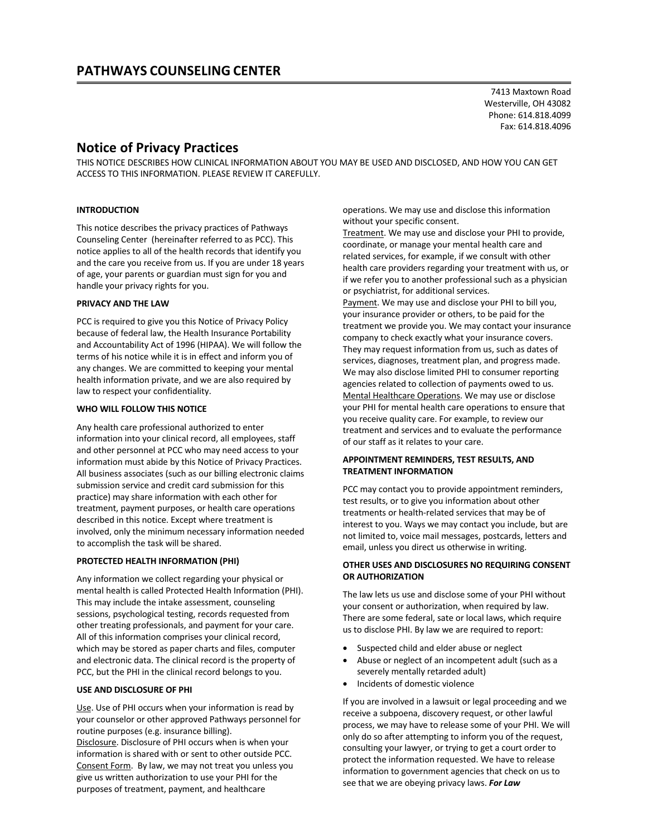7413 Maxtown Road Westerville, OH 43082 Phone: 614.818.4099 Fax: 614.818.4096

## **Notice of Privacy Practices**

THIS NOTICE DESCRIBES HOW CLINICAL INFORMATION ABOUT YOU MAY BE USED AND DISCLOSED, AND HOW YOU CAN GET ACCESS TO THIS INFORMATION. PLEASE REVIEW IT CAREFULLY.

#### **INTRODUCTION**

This notice describes the privacy practices of Pathways Counseling Center (hereinafter referred to as PCC). This notice applies to all of the health records that identify you and the care you receive from us. If you are under 18 years of age, your parents or guardian must sign for you and handle your privacy rights for you.

#### **PRIVACY AND THE LAW**

PCC is required to give you this Notice of Privacy Policy because of federal law, the Health Insurance Portability and Accountability Act of 1996 (HIPAA). We will follow the terms of his notice while it is in effect and inform you of any changes. We are committed to keeping your mental health information private, and we are also required by law to respect your confidentiality.

#### **WHO WILL FOLLOW THIS NOTICE**

Any health care professional authorized to enter information into your clinical record, all employees, staff and other personnel at PCC who may need access to your information must abide by this Notice of Privacy Practices. All business associates (such as our billing electronic claims submission service and credit card submission for this practice) may share information with each other for treatment, payment purposes, or health care operations described in this notice. Except where treatment is involved, only the minimum necessary information needed to accomplish the task will be shared.

#### **PROTECTED HEALTH INFORMATION (PHI)**

Any information we collect regarding your physical or mental health is called Protected Health Information (PHI). This may include the intake assessment, counseling sessions, psychological testing, records requested from other treating professionals, and payment for your care. All of this information comprises your clinical record, which may be stored as paper charts and files, computer and electronic data. The clinical record is the property of PCC, but the PHI in the clinical record belongs to you.

#### **USE AND DISCLOSURE OF PHI**

Use. Use of PHI occurs when your information is read by your counselor or other approved Pathways personnel for routine purposes (e.g. insurance billing).

Disclosure. Disclosure of PHI occurs when is when your information is shared with or sent to other outside PCC. Consent Form. By law, we may not treat you unless you give us written authorization to use your PHI for the purposes of treatment, payment, and healthcare

operations. We may use and disclose this information without your specific consent.

Treatment. We may use and disclose your PHI to provide, coordinate, or manage your mental health care and related services, for example, if we consult with other health care providers regarding your treatment with us, or if we refer you to another professional such as a physician or psychiatrist, for additional services.

Payment. We may use and disclose your PHI to bill you, your insurance provider or others, to be paid for the treatment we provide you. We may contact your insurance company to check exactly what your insurance covers. They may request information from us, such as dates of services, diagnoses, treatment plan, and progress made. We may also disclose limited PHI to consumer reporting agencies related to collection of payments owed to us. Mental Healthcare Operations. We may use or disclose your PHI for mental health care operations to ensure that you receive quality care. For example, to review our treatment and services and to evaluate the performance of our staff as it relates to your care.

#### **APPOINTMENT REMINDERS, TEST RESULTS, AND TREATMENT INFORMATION**

PCC may contact you to provide appointment reminders, test results, or to give you information about other treatments or health-related services that may be of interest to you. Ways we may contact you include, but are not limited to, voice mail messages, postcards, letters and email, unless you direct us otherwise in writing.

#### **OTHER USES AND DISCLOSURES NO REQUIRING CONSENT OR AUTHORIZATION**

The law lets us use and disclose some of your PHI without your consent or authorization, when required by law. There are some federal, sate or local laws, which require us to disclose PHI. By law we are required to report:

- Suspected child and elder abuse or neglect
- Abuse or neglect of an incompetent adult (such as a severely mentally retarded adult)
- Incidents of domestic violence

If you are involved in a lawsuit or legal proceeding and we receive a subpoena, discovery request, or other lawful process, we may have to release some of your PHI. We will only do so after attempting to inform you of the request, consulting your lawyer, or trying to get a court order to protect the information requested. We have to release information to government agencies that check on us to see that we are obeying privacy laws. *For Law*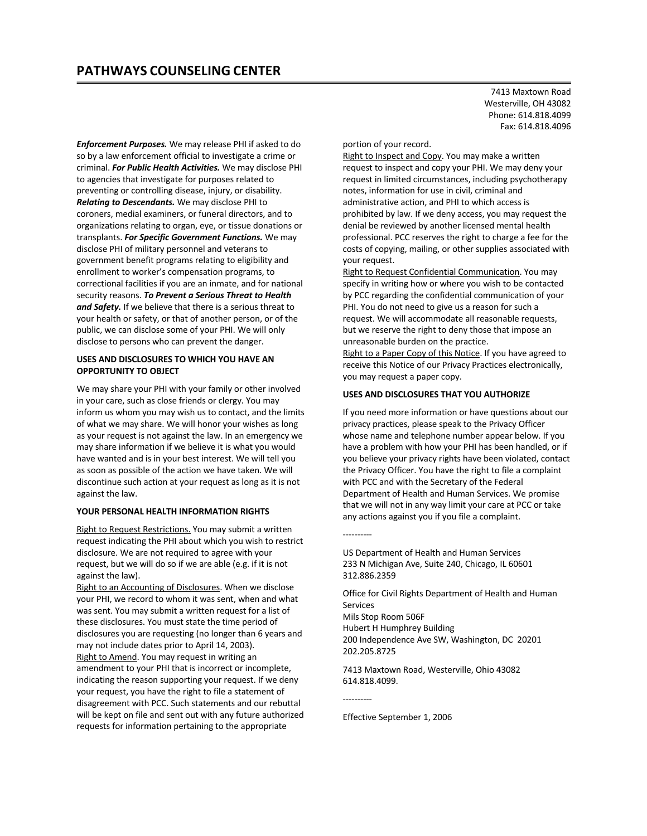*Enforcement Purposes.* We may release PHI if asked to do so by a law enforcement official to investigate a crime or criminal. *For Public Health Activities.* We may disclose PHI to agencies that investigate for purposes related to preventing or controlling disease, injury, or disability. *Relating to Descendants.* We may disclose PHI to coroners, medial examiners, or funeral directors, and to organizations relating to organ, eye, or tissue donations or transplants. *For Specific Government Functions.* We may disclose PHI of military personnel and veterans to government benefit programs relating to eligibility and enrollment to worker's compensation programs, to correctional facilities if you are an inmate, and for national security reasons. *To Prevent a Serious Threat to Health and Safety.* If we believe that there is a serious threat to your health or safety, or that of another person, or of the public, we can disclose some of your PHI. We will only disclose to persons who can prevent the danger.

#### **USES AND DISCLOSURES TO WHICH YOU HAVE AN OPPORTUNITY TO OBJECT**

We may share your PHI with your family or other involved in your care, such as close friends or clergy. You may inform us whom you may wish us to contact, and the limits of what we may share. We will honor your wishes as long as your request is not against the law. In an emergency we may share information if we believe it is what you would have wanted and is in your best interest. We will tell you as soon as possible of the action we have taken. We will discontinue such action at your request as long as it is not against the law.

#### **YOUR PERSONAL HEALTH INFORMATION RIGHTS**

Right to Request Restrictions. You may submit a written request indicating the PHI about which you wish to restrict disclosure. We are not required to agree with your request, but we will do so if we are able (e.g. if it is not against the law).

Right to an Accounting of Disclosures. When we disclose your PHI, we record to whom it was sent, when and what was sent. You may submit a written request for a list of these disclosures. You must state the time period of disclosures you are requesting (no longer than 6 years and may not include dates prior to April 14, 2003). Right to Amend. You may request in writing an amendment to your PHI that is incorrect or incomplete, indicating the reason supporting your request. If we deny your request, you have the right to file a statement of disagreement with PCC. Such statements and our rebuttal will be kept on file and sent out with any future authorized requests for information pertaining to the appropriate

7413 Maxtown Road Westerville, OH 43082 Phone: 614.818.4099 Fax: 614.818.4096

#### portion of your record.

Right to Inspect and Copy. You may make a written request to inspect and copy your PHI. We may deny your request in limited circumstances, including psychotherapy notes, information for use in civil, criminal and administrative action, and PHI to which access is prohibited by law. If we deny access, you may request the denial be reviewed by another licensed mental health professional. PCC reserves the right to charge a fee for the costs of copying, mailing, or other supplies associated with your request.

Right to Request Confidential Communication. You may specify in writing how or where you wish to be contacted by PCC regarding the confidential communication of your PHI. You do not need to give us a reason for such a request. We will accommodate all reasonable requests, but we reserve the right to deny those that impose an unreasonable burden on the practice.

Right to a Paper Copy of this Notice. If you have agreed to receive this Notice of our Privacy Practices electronically, you may request a paper copy.

#### **USES AND DISCLOSURES THAT YOU AUTHORIZE**

If you need more information or have questions about our privacy practices, please speak to the Privacy Officer whose name and telephone number appear below. If you have a problem with how your PHI has been handled, or if you believe your privacy rights have been violated, contact the Privacy Officer. You have the right to file a complaint with PCC and with the Secretary of the Federal Department of Health and Human Services. We promise that we will not in any way limit your care at PCC or take any actions against you if you file a complaint.

US Department of Health and Human Services 233 N Michigan Ave, Suite 240, Chicago, IL 60601 312.886.2359

Office for Civil Rights Department of Health and Human Services Mils Stop Room 506F Hubert H Humphrey Building

200 Independence Ave SW, Washington, DC 20201 202.205.8725

7413 Maxtown Road, Westerville, Ohio 43082 614.818.4099.

----------

----------

Effective September 1, 2006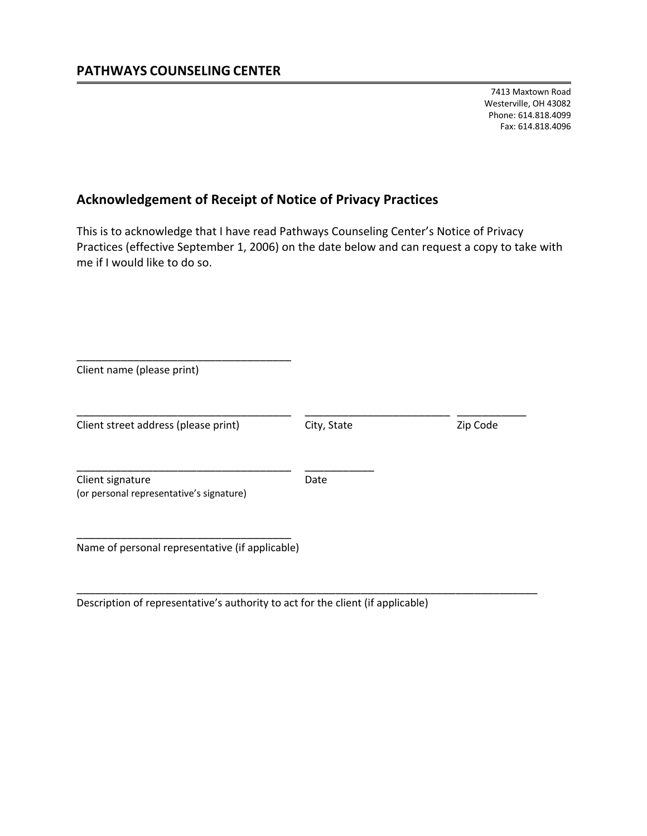7413 Maxtown Road Westerville, OH 43082 Phone: 614.818.4099 Fax: 614.818.4096

## **Acknowledgement of Receipt of Notice of Privacy Practices**

This is to acknowledge that I have read Pathways Counseling Center's Notice of Privacy Practices (effective September 1, 2006) on the date below and can request a copy to take with me if I would like to do so.

| Client name (please print)                                   |             |          |
|--------------------------------------------------------------|-------------|----------|
| Client street address (please print)                         | City, State | Zip Code |
| Client signature<br>(or personal representative's signature) | Date        |          |
| Name of personal representative (if applicable)              |             |          |

\_\_\_\_\_\_\_\_\_\_\_\_\_\_\_\_\_\_\_\_\_\_\_\_\_\_\_\_\_\_\_\_\_\_\_\_\_\_\_\_\_\_\_\_\_\_\_\_\_\_\_\_\_\_\_\_\_\_\_\_\_\_\_\_\_\_\_\_\_\_\_\_\_

Description of representative's authority to act for the client (if applicable)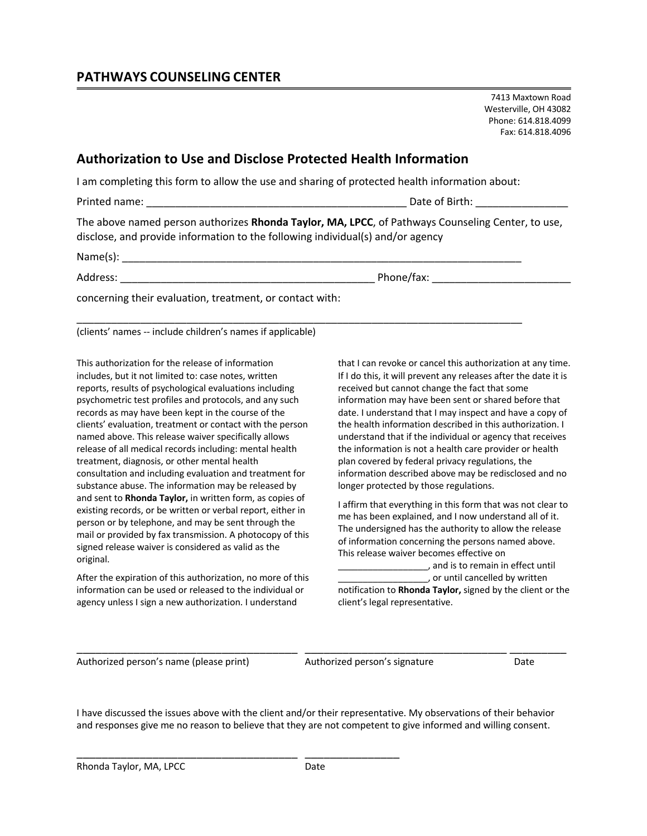7413 Maxtown Road Westerville, OH 43082 Phone: 614.818.4099 Fax: 614.818.4096

## **Authorization to Use and Disclose Protected Health Information**

I am completing this form to allow the use and sharing of protected health information about:

\_\_\_\_\_\_\_\_\_\_\_\_\_\_\_\_\_\_\_\_\_\_\_\_\_\_\_\_\_\_\_\_\_\_\_\_\_\_\_\_\_\_\_\_\_\_\_\_\_\_\_\_\_\_\_\_\_\_\_\_\_\_\_\_\_\_\_\_\_\_\_\_\_\_\_\_\_

Printed name: \_\_\_\_\_\_\_\_\_\_\_\_\_\_\_\_\_\_\_\_\_\_\_\_\_\_\_\_\_\_\_\_\_\_\_\_\_\_\_\_\_\_\_\_\_ Date of Birth: \_\_\_\_\_\_\_\_\_\_\_\_\_\_\_\_

The above named person authorizes **Rhonda Taylor, MA, LPCC**, of Pathways Counseling Center, to use, disclose, and provide information to the following individual(s) and/or agency

 $Name(s):$ 

Address: example and the control of the control of Phone/fax: example and the control of the control of the control of the control of the control of the control of the control of the control of the control of the control o

concerning their evaluation, treatment, or contact with:

(clients' names -- include children's names if applicable)

This authorization for the release of information includes, but it not limited to: case notes, written reports, results of psychological evaluations including psychometric test profiles and protocols, and any such records as may have been kept in the course of the clients' evaluation, treatment or contact with the person named above. This release waiver specifically allows release of all medical records including: mental health treatment, diagnosis, or other mental health consultation and including evaluation and treatment for substance abuse. The information may be released by and sent to **Rhonda Taylor,** in written form, as copies of existing records, or be written or verbal report, either in person or by telephone, and may be sent through the mail or provided by fax transmission. A photocopy of this signed release waiver is considered as valid as the original.

After the expiration of this authorization, no more of this information can be used or released to the individual or agency unless I sign a new authorization. I understand

\_\_\_\_\_\_\_\_\_\_\_\_\_\_\_\_\_\_\_\_\_\_\_\_\_\_\_\_\_\_\_\_\_\_\_ \_\_\_\_\_\_\_\_\_\_\_\_\_\_\_

that I can revoke or cancel this authorization at any time. If I do this, it will prevent any releases after the date it is received but cannot change the fact that some information may have been sent or shared before that date. I understand that I may inspect and have a copy of the health information described in this authorization. I understand that if the individual or agency that receives the information is not a health care provider or health plan covered by federal privacy regulations, the information described above may be redisclosed and no longer protected by those regulations.

I affirm that everything in this form that was not clear to me has been explained, and I now understand all of it. The undersigned has the authority to allow the release of information concerning the persons named above. This release waiver becomes effective on

\_\_\_\_\_\_\_\_\_\_\_\_\_\_\_\_\_\_, and is to remain in effect until \_\_\_\_\_\_\_\_\_\_\_\_\_\_\_\_\_\_, or until cancelled by written notification to **Rhonda Taylor,** signed by the client or the client's legal representative.

Authorized person's name (please print) Authorized person's signature Date

I have discussed the issues above with the client and/or their representative. My observations of their behavior and responses give me no reason to believe that they are not competent to give informed and willing consent.

\_\_\_\_\_\_\_\_\_\_\_\_\_\_\_\_\_\_\_\_\_\_\_\_\_\_\_\_\_\_\_\_\_\_\_ \_\_\_\_\_\_\_\_\_\_\_\_\_\_\_\_\_\_\_\_\_\_\_\_\_\_\_\_\_\_\_\_ \_\_\_\_\_\_\_\_\_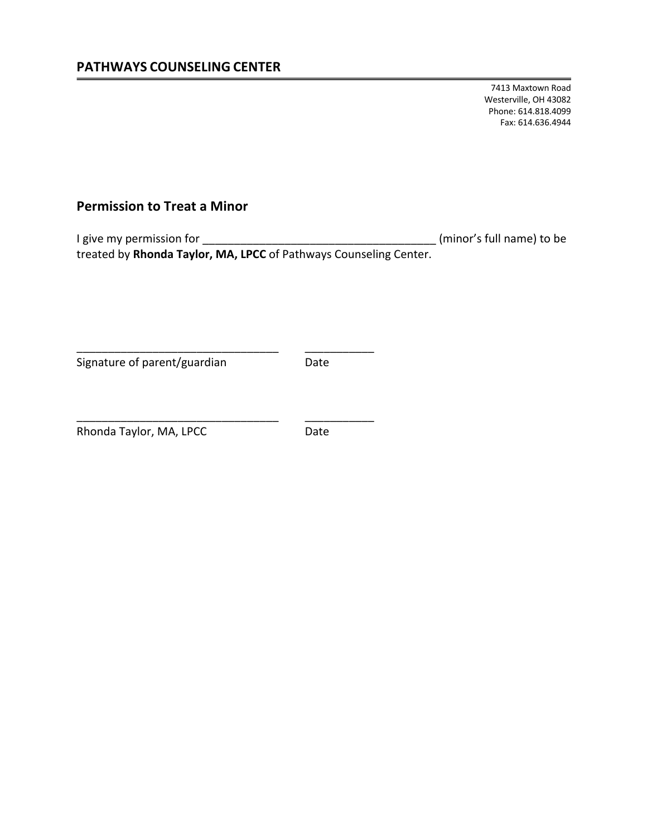7413 Maxtown Road Westerville, OH 43082 Phone: 614.818.4099 Fax: 614.636.4944

## **Permission to Treat a Minor**

I give my permission for \_\_\_\_\_\_\_\_\_\_\_\_\_\_\_\_\_\_\_\_\_\_\_\_\_\_\_\_\_\_\_\_\_\_\_\_\_ (minor's full name) to be treated by **Rhonda Taylor, MA, LPCC** of Pathways Counseling Center.

Signature of parent/guardian Date

\_\_\_\_\_\_\_\_\_\_\_\_\_\_\_\_\_\_\_\_\_\_\_\_\_\_\_\_\_\_\_\_ \_\_\_\_\_\_\_\_\_\_\_

\_\_\_\_\_\_\_\_\_\_\_\_\_\_\_\_\_\_\_\_\_\_\_\_\_\_\_\_\_\_\_\_ \_\_\_\_\_\_\_\_\_\_\_

Rhonda Taylor, MA, LPCC Date